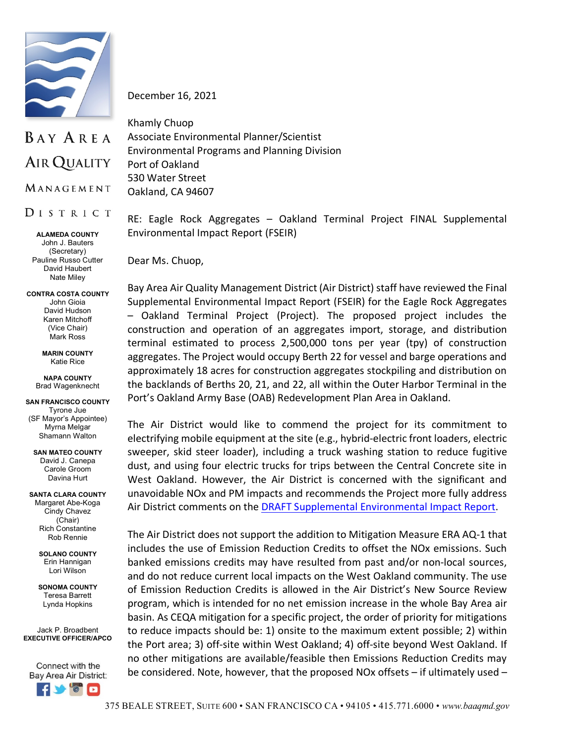

December 16, 2021

## BAY AREA AIR QUALITY

MANAGEMENT

DISTRICT

**ALAMEDA COUNTY** John J. Bauters (Secretary) Pauline Russo Cutter David Haubert Nate Miley

## **CONTRA COSTA COUNTY** John Gioia David Hudson Karen Mitchoff (Vice Chair) Mark Ross

**MARIN COUNTY** Katie Rice

**NAPA COUNTY** Brad Wagenknecht

**SAN FRANCISCO COUNTY** Tyrone Jue (SF Mayor's Appointee) Myrna Melgar Shamann Walton

**SAN MATEO COUNTY** David J. Canepa Carole Groom Davina Hurt

**SANTA CLARA COUNTY** Margaret Abe-Koga Cindy Chavez (Chair) Rich Constantine Rob Rennie

> **SOLANO COUNTY** Erin Hannigan Lori Wilson

**SONOMA COUNTY** Teresa Barrett Lynda Hopkins

Jack P. Broadbent **EXECUTIVE OFFICER/APCO**

Connect with the Bay Area Air District:



Khamly Chuop Associate Environmental Planner/Scientist Environmental Programs and Planning Division Port of Oakland 530 Water Street

Oakland, CA 94607

RE: Eagle Rock Aggregates – Oakland Terminal Project FINAL Supplemental Environmental Impact Report (FSEIR)

Dear Ms. Chuop,

Bay Area Air Quality Management District (Air District) staff have reviewed the Final Supplemental Environmental Impact Report (FSEIR) for the Eagle Rock Aggregates – Oakland Terminal Project (Project). The proposed project includes the construction and operation of an aggregates import, storage, and distribution terminal estimated to process 2,500,000 tons per year (tpy) of construction aggregates. The Project would occupy Berth 22 for vessel and barge operations and approximately 18 acres for construction aggregates stockpiling and distribution on the backlands of Berths 20, 21, and 22, all within the Outer Harbor Terminal in the Port's Oakland Army Base (OAB) Redevelopment Plan Area in Oakland.

The Air District would like to commend the project for its commitment to electrifying mobile equipment at the site (e.g., hybrid-electric front loaders, electric sweeper, skid steer loader), including a truck washing station to reduce fugitive dust, and using four electric trucks for trips between the Central Concrete site in West Oakland. However, the Air District is concerned with the significant and unavoidable NOx and PM impacts and recommends the Project more fully address Air District comments on the [DRAFT Supplemental Environmental Impact Report.](https://www.baaqmd.gov/%7E/media/files/planning-and-research/ceqa-letters/2021/eagle-rock-aggregates-oakland-terminal-project-dseir-letter-pdf.pdf?la=en&rev=a502480ee3af467a98c54ae39806bb33)

The Air District does not support the addition to Mitigation Measure ERA AQ-1 that includes the use of Emission Reduction Credits to offset the NOx emissions. Such banked emissions credits may have resulted from past and/or non-local sources, and do not reduce current local impacts on the West Oakland community. The use of Emission Reduction Credits is allowed in the Air District's New Source Review program, which is intended for no net emission increase in the whole Bay Area air basin. As CEQA mitigation for a specific project, the order of priority for mitigations to reduce impacts should be: 1) onsite to the maximum extent possible; 2) within the Port area; 3) off-site within West Oakland; 4) off-site beyond West Oakland. If no other mitigations are available/feasible then Emissions Reduction Credits may be considered. Note, however, that the proposed NOx offsets – if ultimately used –